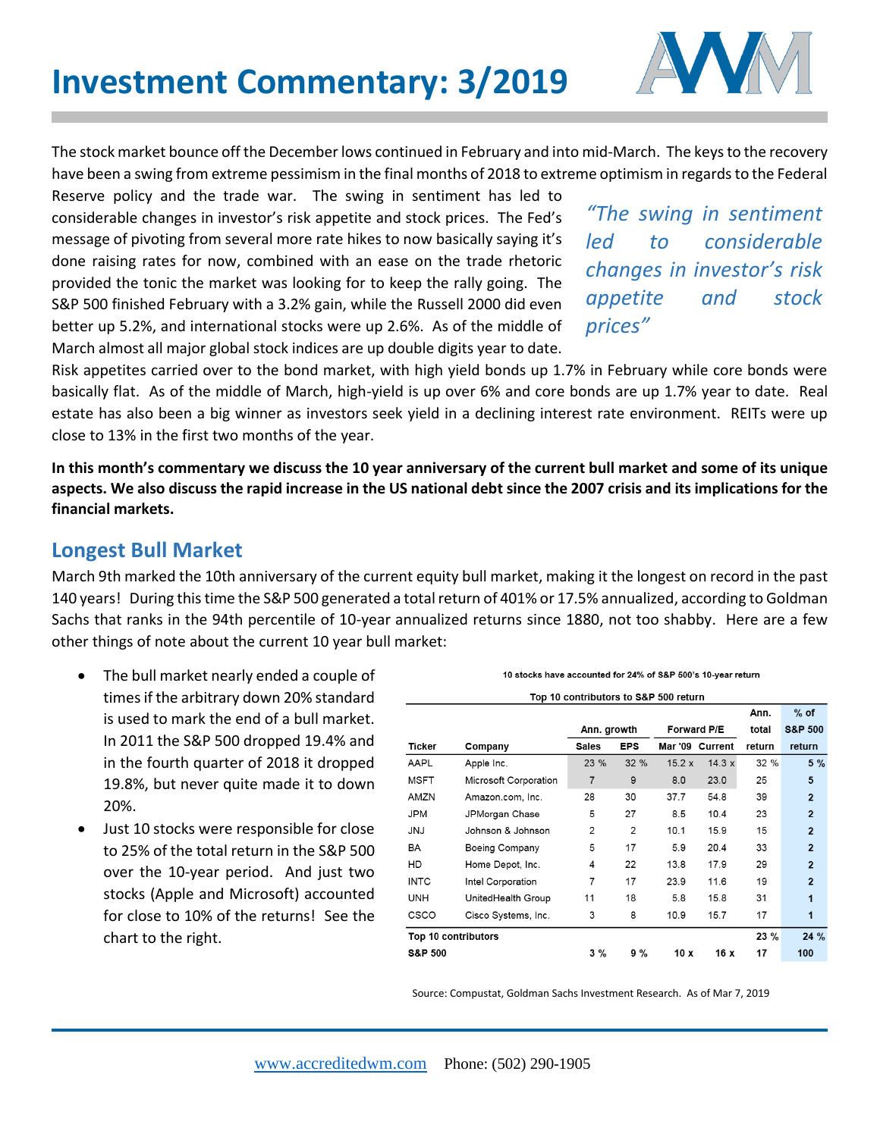

The stock market bounce off the December lows continued in February and into mid-March. The keys to the recovery have been a swing from extreme pessimism in the final months of 2018 to extreme optimism in regards to the Federal

Reserve policy and the trade war. The swing in sentiment has led to considerable changes in investor's risk appetite and stock prices. The Fed's message of pivoting from several more rate hikes to now basically saying it's done raising rates for now, combined with an ease on the trade rhetoric provided the tonic the market was looking for to keep the rally going. The S&P 500 finished February with a 3.2% gain, while the Russell 2000 did even better up 5.2%, and international stocks were up 2.6%. As of the middle of March almost all major global stock indices are up double digits year to date.

*"The swing in sentiment led to considerable changes in investor's risk appetite and stock prices"* 

Risk appetites carried over to the bond market, with high yield bonds up 1.7% in February while core bonds were basically flat. As of the middle of March, high-yield is up over 6% and core bonds are up 1.7% year to date. Real estate has also been a big winner as investors seek yield in a declining interest rate environment. REITs were up close to 13% in the first two months of the year.

**In this month's commentary we discuss the 10 year anniversary of the current bull market and some of its unique aspects. We also discuss the rapid increase in the US national debt since the 2007 crisis and its implications for the financial markets.** 

## **Longest Bull Market**

March 9th marked the 10th anniversary of the current equity bull market, making it the longest on record in the past 140 years! During this time the S&P 500 generated a total return of 401% or 17.5% annualized, according to Goldman Sachs that ranks in the 94th percentile of 10-year annualized returns since 1880, not too shabby. Here are a few other things of note about the current 10 year bull market:

- The bull market nearly ended a couple of times if the arbitrary down 20% standard is used to mark the end of a bull market. In 2011 the S&P 500 dropped 19.4% and in the fourth quarter of 2018 it dropped 19.8%, but never quite made it to down 20%.
- Just 10 stocks were responsible for close to 25% of the total return in the S&P 500 over the 10-year period. And just two stocks (Apple and Microsoft) accounted for close to 10% of the returns! See the chart to the right.

| 0 stocks have accounted for 24% of S&P 500's 10-year return |  |  |  |
|-------------------------------------------------------------|--|--|--|
|-------------------------------------------------------------|--|--|--|

| Top 10 contributors to S&P 500 return |                       |                |            |             |                 |         |                    |  |  |  |
|---------------------------------------|-----------------------|----------------|------------|-------------|-----------------|---------|--------------------|--|--|--|
|                                       |                       |                |            |             |                 | Ann.    | $%$ of             |  |  |  |
|                                       |                       | Ann. growth    |            | Forward P/E |                 | total   | <b>S&amp;P 500</b> |  |  |  |
| Ticker                                | Company               | <b>Sales</b>   | <b>EPS</b> |             | Mar '09 Current | return  | return             |  |  |  |
| AAPL                                  | Apple Inc.            | 23 %           | 32%        | 15.2 x      | 14.3x           | 32 %    | $5\%$              |  |  |  |
| <b>MSFT</b>                           | Microsoft Corporation | $\overline{7}$ | 9          | 8.0         | 23.0            | 25      | 5                  |  |  |  |
| AMZN                                  | Amazon.com, Inc.      | 28             | 30         | 37.7        | 54.8            | 39      | $\overline{2}$     |  |  |  |
| <b>JPM</b>                            | JPMorgan Chase        | 5              | 27         | 8.5         | 10.4            | 23      | $\overline{2}$     |  |  |  |
| <b>JNJ</b>                            | Johnson & Johnson     | $\overline{2}$ | 2          | 10.1        | 15.9            | 15      | $\overline{2}$     |  |  |  |
| BA                                    | Boeing Company        | 5              | 17         | 5.9         | 20.4            | 33      | $\overline{2}$     |  |  |  |
| HD                                    | Home Depot, Inc.      | 4              | 22         | 13.8        | 17.9            | 29      | $\overline{2}$     |  |  |  |
| <b>INTC</b>                           | Intel Corporation     | 7              | 17         | 23.9        | 11.6            | 19      | $\overline{2}$     |  |  |  |
| <b>UNH</b>                            | UnitedHealth Group    | 11             | 18         | 5.8         | 15.8            | 31      | 1                  |  |  |  |
| <b>CSCO</b>                           | Cisco Systems, Inc.   | 3              | 8          | 10.9        | 15.7            | 17      | 1                  |  |  |  |
|                                       | Top 10 contributors   |                |            |             |                 | $23 \%$ | $24 \%$            |  |  |  |
| <b>S&amp;P 500</b>                    |                       | $3\%$          | 9%         | 10x         | 16x             | 17      | 100                |  |  |  |

Source: Compustat, Goldman Sachs Investment Research. As of Mar 7, 2019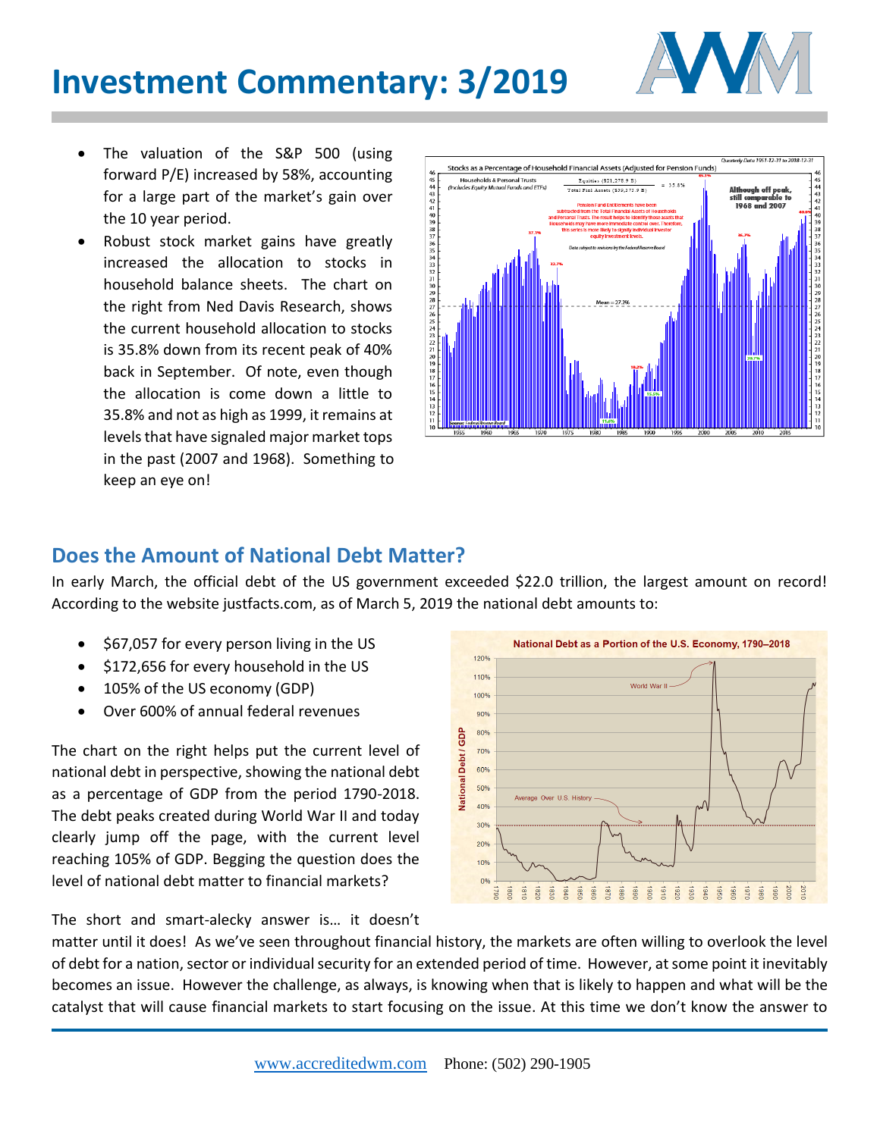## **Investment Commentary: 3/2019**



- The valuation of the S&P 500 (using forward P/E) increased by 58%, accounting for a large part of the market's gain over the 10 year period.
- Robust stock market gains have greatly increased the allocation to stocks in household balance sheets. The chart on the right from Ned Davis Research, shows the current household allocation to stocks is 35.8% down from its recent peak of 40% back in September. Of note, even though the allocation is come down a little to 35.8% and not as high as 1999, it remains at levels that have signaled major market tops in the past (2007 and 1968). Something to keep an eye on!



## **Does the Amount of National Debt Matter?**

In early March, the official debt of the US government exceeded \$22.0 trillion, the largest amount on record! According to the website justfacts.com, as of March 5, 2019 the national debt amounts to:

- \$67,057 for every person living in the US
- \$172,656 for every household in the US
- 105% of the US economy (GDP)
- Over 600% of annual federal revenues

The chart on the right helps put the current level of national debt in perspective, showing the national debt as a percentage of GDP from the period 1790-2018. The debt peaks created during World War II and today clearly jump off the page, with the current level reaching 105% of GDP. Begging the question does the level of national debt matter to financial markets?

The short and smart-alecky answer is… it doesn't



matter until it does! As we've seen throughout financial history, the markets are often willing to overlook the level of debt for a nation, sector or individual security for an extended period of time. However, at some point it inevitably becomes an issue. However the challenge, as always, is knowing when that is likely to happen and what will be the catalyst that will cause financial markets to start focusing on the issue. At this time we don't know the answer to